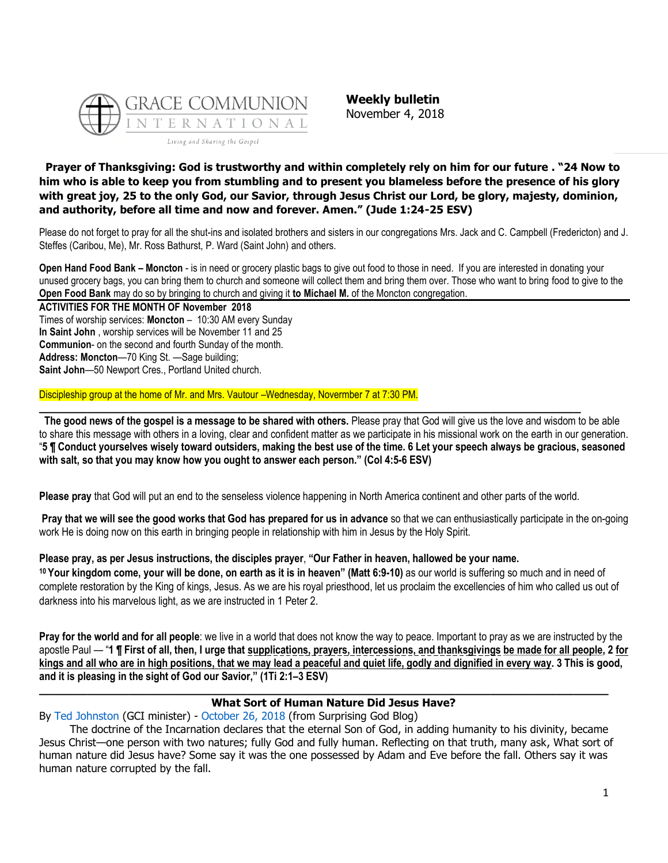

**Weekly bulletin** November 4, 2018

## **Prayer of Thanksgiving: God is trustworthy and within completely rely on him for our future . "24 Now to him who is able to keep you from stumbling and to present you blameless before the presence of his glory with great joy, 25 to the only God, our Savior, through Jesus Christ our Lord, be glory, majesty, dominion, and authority, before all time and now and forever. Amen." (Jude 1:24-25 ESV)**

Please do not forget to pray for all the shut-ins and isolated brothers and sisters in our congregations Mrs. Jack and C. Campbell (Fredericton) and J. Steffes (Caribou, Me), Mr. Ross Bathurst, P. Ward (Saint John) and others.

**Open Hand Food Bank – Moncton** - is in need or grocery plastic bags to give out food to those in need. If you are interested in donating your unused grocery bags, you can bring them to church and someone will collect them and bring them over. Those who want to bring food to give to the **Open Food Bank** may do so by bringing to church and giving it **to Michael M.** of the Moncton congregation.

**ACTIVITIES FOR THE MONTH OF November 2018** Times of worship services: **Moncton** – 10:30 AM every Sunday **In Saint John** , worship services will be November 11 and 25 **Communion**- on the second and fourth Sunday of the month. **Address: Moncton**—70 King St. —Sage building; **Saint John**—50 Newport Cres., Portland United church.

Discipleship group at the home of Mr. and Mrs. Vautour –Wednesday, Novermber 7 at 7:30 PM.

**The good news of the gospel is a message to be shared with others.** Please pray that God will give us the love and wisdom to be able to share this message with others in a loving, clear and confident matter as we participate in his missional work on the earth in our generation. "**5 ¶ Conduct yourselves wisely toward outsiders, making the best use of the time. 6 Let your speech always be gracious, seasoned with salt, so that you may know how you ought to answer each person." (Col 4:5-6 ESV)**

**Please pray** that God will put an end to the senseless violence happening in North America continent and other parts of the world.

**\_\_\_\_\_\_\_\_\_\_\_\_\_\_\_\_\_\_\_\_\_\_\_\_\_\_\_\_\_\_\_\_\_\_\_\_\_\_\_\_\_\_\_\_\_\_\_\_\_\_\_\_\_\_\_\_\_\_\_\_\_\_\_\_\_\_\_\_\_\_\_\_\_\_\_\_\_\_**

**Pray that we will see the good works that God has prepared for us in advance** so that we can enthusiastically participate in the on-going work He is doing now on this earth in bringing people in relationship with him in Jesus by the Holy Spirit.

## **Please pray, as per Jesus instructions, the disciples prayer**, **"Our Father in heaven, hallowed be your name.**

**<sup>10</sup> Your kingdom come, your will be done, on earth as it is in heaven" (Matt 6:9-10)** as our world is suffering so much and in need of complete restoration by the King of kings, Jesus. As we are his royal priesthood, let us proclaim the excellencies of him who called us out of darkness into his marvelous light, as we are instructed in 1 Peter 2.

**Pray for the world and for all people**: we live in a world that does not know the way to peace. Important to pray as we are instructed by the apostle Paul — "**1 ¶ First of all, then, I urge that supplications, prayers, intercessions, and thanksgivings be made for all people, 2 for kings and all who are in high positions, that we may lead a peaceful and quiet life, godly and dignified in every way. 3 This is good, and it is pleasing in the sight of God our Savior," (1Ti 2:1–3 ESV)**

## **What Sort of Human Nature Did Jesus Have?**

**\_\_\_\_\_\_\_\_\_\_\_\_\_\_\_\_\_\_\_\_\_\_\_\_\_\_\_\_\_\_\_\_\_\_\_\_\_\_\_\_\_\_\_\_\_\_\_\_\_\_\_\_\_\_\_\_\_\_\_\_\_\_\_\_\_\_\_\_\_\_\_\_\_\_\_\_\_\_\_\_\_\_**

By [Ted Johnston](https://www.blogger.com/profile/08677739021765621811) (GCI minister) - [October 26, 2018](http://thesurprisinggodblog.gci.org/2018/10/what-sort-of-human-nature-did-jesus-have.html) (from Surprising God Blog)

 The doctrine of the Incarnation declares that the eternal Son of God, in adding humanity to his divinity, became Jesus Christ—one person with two natures; fully God and fully human. Reflecting on that truth, many ask, What sort of human nature did Jesus have? Some say it was the one possessed by Adam and Eve before the fall. Others say it was human nature corrupted by the fall.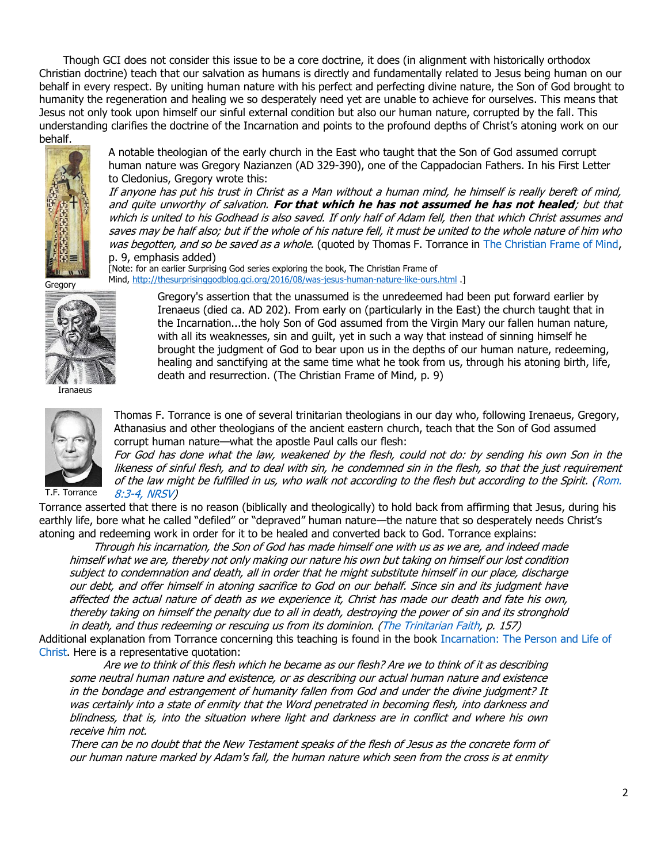Though GCI does not consider this issue to be a core doctrine, it does (in alignment with historically orthodox Christian doctrine) teach that our salvation as humans is directly and fundamentally related to Jesus being human on our behalf in every respect. By uniting human nature with his perfect and perfecting divine nature, the Son of God brought to humanity the regeneration and healing we so desperately need yet are unable to achieve for ourselves. This means that Jesus not only took upon himself our sinful external condition but also our human nature, corrupted by the fall. This understanding clarifies the doctrine of the Incarnation and points to the profound depths of Christ's atoning work on our behalf.

Mind, <http://thesurprisinggodblog.gci.org/2016/08/was-jesus-human-nature-like-ours.html> .]



A notable theologian of the early church in the East who taught that the Son of God assumed corrupt human nature was Gregory Nazianzen (AD 329-390), one of the Cappadocian Fathers. In his First Letter to Cledonius, Gregory wrote this:

If anyone has put his trust in Christ as a Man without a human mind, he himself is really bereft of mind, and quite unworthy of salvation. **For that which he has not assumed he has not healed**; but that which is united to his Godhead is also saved. If only half of Adam fell, then that which Christ assumes and saves may be half also; but if the whole of his nature fell, it must be united to the whole nature of him who was begotten, and so be saved as a whole. (quoted by Thomas F. Torrance in [The Christian Frame of Mind,](https://www.amazon.com/Christian-Frame-Mind-Openness-Theology/dp/149822587X/ref=sr_1_1?ie=UTF8&qid=1540603382&sr=8-1&keywords=The+Christian+Frame+of+Mind) p. 9, emphasis added) [Note: for an earlier Surprising God series exploring the book, The Christian Frame of

Gregory



Gregory's assertion that the unassumed is the unredeemed had been put forward earlier by Irenaeus (died ca. AD 202). From early on (particularly in the East) the church taught that in the Incarnation...the holy Son of God assumed from the Virgin Mary our fallen human nature, with all its weaknesses, sin and guilt, yet in such a way that instead of sinning himself he brought the judgment of God to bear upon us in the depths of our human nature, redeeming, healing and sanctifying at the same time what he took from us, through his atoning birth, life, death and resurrection. (The Christian Frame of Mind, p. 9)





Thomas F. Torrance is one of several trinitarian theologians in our day who, following Irenaeus, Gregory, Athanasius and other theologians of the ancient eastern church, teach that the Son of God assumed corrupt human nature—what the apostle Paul calls our flesh:

For God has done what the law, weakened by the flesh, could not do: by sending his own Son in the likeness of sinful flesh, and to deal with sin, he condemned sin in the flesh, so that the just requirement of the law might be fulfilled in us, who walk not according to the flesh but according to the Spirit. [\(Rom.](https://biblia.com/bible/nrsv/Rom.%208.3-4)  [8:3-4, NRSV\)](https://biblia.com/bible/nrsv/Rom.%208.3-4)

Torrance asserted that there is no reason (biblically and theologically) to hold back from affirming that Jesus, during his earthly life, bore what he called "defiled" or "depraved" human nature—the nature that so desperately needs Christ's atoning and redeeming work in order for it to be healed and converted back to God. Torrance explains:

 Through his incarnation, the Son of God has made himself one with us as we are, and indeed made himself what we are, thereby not only making our nature his own but taking on himself our lost condition subject to condemnation and death, all in order that he might substitute himself in our place, discharge our debt, and offer himself in atoning sacrifice to God on our behalf. Since sin and its judgment have affected the actual nature of death as we experience it, Christ has made our death and fate his own, thereby taking on himself the penalty due to all in death, destroying the power of sin and its stronghold in death, and thus redeeming or rescuing us from its dominion. [\(The Trinitarian Faith,](https://books.google.com/books?id=jUatAwAAQBAJ&printsec=frontcover#v=onepage&q&f=false) p. 157)

Additional explanation from Torrance concerning this teaching is found in the book [Incarnation: The Person and Life of](https://www.amazon.com/Incarnation-Person-Thomas-F-Torrance/dp/0830824596)  [Christ.](https://www.amazon.com/Incarnation-Person-Thomas-F-Torrance/dp/0830824596) Here is a representative quotation:

 Are we to think of this flesh which he became as our flesh? Are we to think of it as describing some neutral human nature and existence, or as describing our actual human nature and existence in the bondage and estrangement of humanity fallen from God and under the divine judgment? It was certainly into a state of enmity that the Word penetrated in becoming flesh, into darkness and blindness, that is, into the situation where light and darkness are in conflict and where his own receive him not.

There can be no doubt that the New Testament speaks of the flesh of Jesus as the concrete form of our human nature marked by Adam's fall, the human nature which seen from the cross is at enmity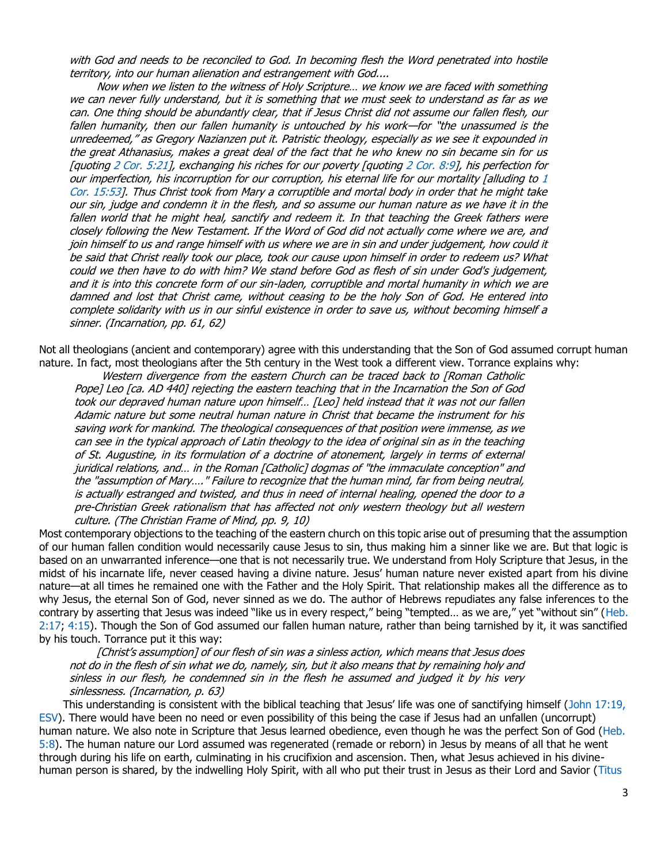with God and needs to be reconciled to God. In becoming flesh the Word penetrated into hostile territory, into our human alienation and estrangement with God....

 Now when we listen to the witness of Holy Scripture… we know we are faced with something we can never fully understand, but it is something that we must seek to understand as far as we can. One thing should be abundantly clear, that if Jesus Christ did not assume our fallen flesh, our fallen humanity, then our fallen humanity is untouched by his work—for "the unassumed is the unredeemed," as Gregory Nazianzen put it. Patristic theology, especially as we see it expounded in the great Athanasius, makes a great deal of the fact that he who knew no sin became sin for us [quoting [2 Cor. 5:21\]](https://biblia.com/bible/niv/2%20Cor.%205.21), exchanging his riches for our poverty [quoting [2 Cor. 8:9\]](https://biblia.com/bible/niv/2%20Cor.%208.9), his perfection for our imperfection, his incorruption for our corruption, his eternal life for our mortality [alluding to [1](https://biblia.com/bible/niv/1%20Cor.%2015.53)  [Cor. 15:53\]](https://biblia.com/bible/niv/1%20Cor.%2015.53). Thus Christ took from Mary a corruptible and mortal body in order that he might take our sin, judge and condemn it in the flesh, and so assume our human nature as we have it in the fallen world that he might heal, sanctify and redeem it. In that teaching the Greek fathers were closely following the New Testament. If the Word of God did not actually come where we are, and join himself to us and range himself with us where we are in sin and under judgement, how could it be said that Christ really took our place, took our cause upon himself in order to redeem us? What could we then have to do with him? We stand before God as flesh of sin under God's judgement, and it is into this concrete form of our sin-laden, corruptible and mortal humanity in which we are damned and lost that Christ came, without ceasing to be the holy Son of God. He entered into complete solidarity with us in our sinful existence in order to save us, without becoming himself a sinner. (Incarnation, pp. 61, 62)

Not all theologians (ancient and contemporary) agree with this understanding that the Son of God assumed corrupt human nature. In fact, most theologians after the 5th century in the West took a different view. Torrance explains why:

 Western divergence from the eastern Church can be traced back to [Roman Catholic Pope] Leo [ca. AD 440] rejecting the eastern teaching that in the Incarnation the Son of God took our depraved human nature upon himself… [Leo] held instead that it was not our fallen Adamic nature but some neutral human nature in Christ that became the instrument for his saving work for mankind. The theological consequences of that position were immense, as we can see in the typical approach of Latin theology to the idea of original sin as in the teaching of St. Augustine, in its formulation of a doctrine of atonement, largely in terms of external juridical relations, and… in the Roman [Catholic] dogmas of "the immaculate conception" and the "assumption of Mary…." Failure to recognize that the human mind, far from being neutral, is actually estranged and twisted, and thus in need of internal healing, opened the door to a pre-Christian Greek rationalism that has affected not only western theology but all western culture. (The Christian Frame of Mind, pp. 9, 10)

Most contemporary objections to the teaching of the eastern church on this topic arise out of presuming that the assumption of our human fallen condition would necessarily cause Jesus to sin, thus making him a sinner like we are. But that logic is based on an unwarranted inference—one that is not necessarily true. We understand from Holy Scripture that Jesus, in the midst of his incarnate life, never ceased having a divine nature. Jesus' human nature never existed apart from his divine nature—at all times he remained one with the Father and the Holy Spirit. That relationship makes all the difference as to why Jesus, the eternal Son of God, never sinned as we do. The author of Hebrews repudiates any false inferences to the contrary by asserting that Jesus was indeed "like us in every respect," being "tempted… as we are," yet "without sin" ([Heb.](https://biblia.com/bible/niv/Heb.%202.17)  [2:17;](https://biblia.com/bible/niv/Heb.%202.17) [4:15\)](https://biblia.com/bible/niv/Heb%204.15). Though the Son of God assumed our fallen human nature, rather than being tarnished by it, it was sanctified by his touch. Torrance put it this way:

 [Christ's assumption] of our flesh of sin was a sinless action, which means that Jesus does not do in the flesh of sin what we do, namely, sin, but it also means that by remaining holy and sinless in our flesh, he condemned sin in the flesh he assumed and judged it by his very sinlessness. (Incarnation, p. 63)

 This understanding is consistent with the biblical teaching that Jesus' life was one of sanctifying himself ([John 17:19,](https://biblia.com/bible/esv/John%2017.19)  [ESV\)](https://biblia.com/bible/esv/John%2017.19). There would have been no need or even possibility of this being the case if Jesus had an unfallen (uncorrupt) human nature. We also note in Scripture that Jesus learned obedience, even though he was the perfect Son of God (Heb. [5:8\)](https://biblia.com/bible/niv/Heb.%205.8). The human nature our Lord assumed was regenerated (remade or reborn) in Jesus by means of all that he went through during his life on earth, culminating in his crucifixion and ascension. Then, what Jesus achieved in his divinehuman person is shared, by the indwelling Holy Spirit, with all who put their trust in Jesus as their Lord and Savior [\(Titus](https://biblia.com/bible/niv/Titus%203.5-6)